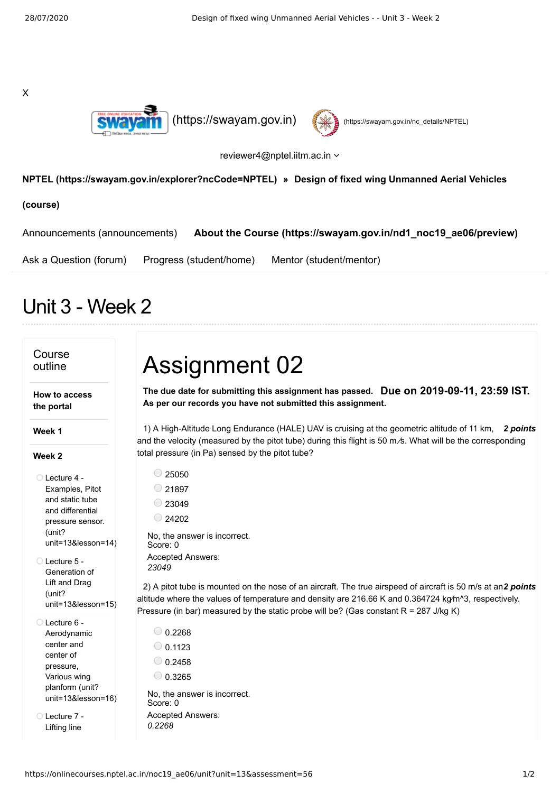X





reviewer4@nptel.iitm.ac.in

## **[NPTEL \(https://swayam.gov.in/explorer?ncCode=NPTEL\)](https://swayam.gov.in/explorer?ncCode=NPTEL) » Design of fixed wing Unmanned Aerial Vehicles**

**(course)**

[Announcements \(announcements\)](https://onlinecourses.nptel.ac.in/noc19_ae06/announcements) **[About the Course \(https://swayam.gov.in/nd1\\_noc19\\_ae06/preview\)](https://swayam.gov.in/nd1_noc19_ae06/preview)**

[Ask a Question \(forum\)](https://onlinecourses.nptel.ac.in/noc19_ae06/forum) [Progress \(student/home\)](https://onlinecourses.nptel.ac.in/noc19_ae06/student/home) [Mentor \(student/mentor\)](https://onlinecourses.nptel.ac.in/noc19_ae06/student/mentor)

## Unit 3 - Week 2

| Course<br>outline                                                                                                                     | <b>Assignment 02</b>                                                                                                                                                                                                                                                                                                                          |
|---------------------------------------------------------------------------------------------------------------------------------------|-----------------------------------------------------------------------------------------------------------------------------------------------------------------------------------------------------------------------------------------------------------------------------------------------------------------------------------------------|
| How to access<br>the portal                                                                                                           | The due date for submitting this assignment has passed. Due on 2019-09-11, 23:59 IST.<br>As per our records you have not submitted this assignment.                                                                                                                                                                                           |
| Week 1                                                                                                                                | 1) A High-Altitude Long Endurance (HALE) UAV is cruising at the geometric altitude of 11 km, 2 points<br>and the velocity (measured by the pitot tube) during this flight is 50 m/s. What will be the corresponding<br>total pressure (in Pa) sensed by the pitot tube?                                                                       |
| Week 2<br>◯ Lecture 4 -<br>Examples, Pitot<br>and static tube<br>and differential<br>pressure sensor.<br>(unit?<br>unit=13&lesson=14) | $\circ$ 25050<br>$\circ$ 21897<br>$\bigcirc$ 23049<br>$\bigcirc$ 24202<br>No. the answer is incorrect.<br>Score: 0                                                                                                                                                                                                                            |
| Lecture 5 -<br>Generation of<br>Lift and Drag<br>(unit?<br>$unit = 13$ &lesson= $15$ )                                                | Accepted Answers:<br>23049<br>2) A pitot tube is mounted on the nose of an aircraft. The true airspeed of aircraft is 50 m/s at an2 points<br>altitude where the values of temperature and density are 216.66 K and 0.364724 kg/m^3, respectively.<br>Pressure (in bar) measured by the static probe will be? (Gas constant $R = 287$ J/kg K) |
| ◯ Lecture 6 -<br>Aerodynamic<br>center and<br>center of<br>pressure,<br>Various wing<br>planform (unit?<br>unit=13&lesson=16)         | $\bigcirc$ 0.2268<br>$\circ$ 0.1123<br>$\bigcirc$ 0.2458<br>$\bigcirc$ 0.3265<br>No, the answer is incorrect.<br>Score: 0                                                                                                                                                                                                                     |
| Lecture 7 -<br>Lifting line                                                                                                           | <b>Accepted Answers:</b><br>0.2268                                                                                                                                                                                                                                                                                                            |